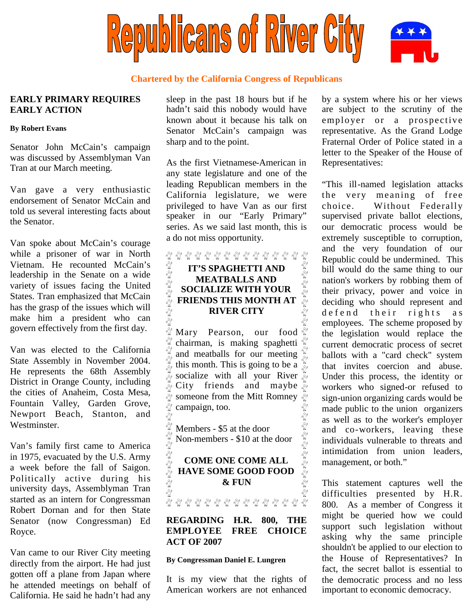

## **Chartered by the California Congress of Republicans**

## **EARLY PRIMARY REQUIRES EARLY ACTION**

#### **By Robert Evans**

Senator John McCain's campaign was discussed by Assemblyman Van Tran at our March meeting.

Van gave a very enthusiastic endorsement of Senator McCain and told us several interesting facts about the Senator.

Van spoke about McCain's courage while a prisoner of war in North Vietnam. He recounted McCain's leadership in the Senate on a wide variety of issues facing the United States. Tran emphasized that McCain has the grasp of the issues which will make him a president who can govern effectively from the first day.

Van was elected to the California State Assembly in November 2004. He represents the 68th Assembly District in Orange County, including the cities of Anaheim, Costa Mesa, Fountain Valley, Garden Grove, Newport Beach, Stanton, and Westminster.

Van's family first came to America in 1975, evacuated by the U.S. Army a week before the fall of Saigon. Politically active during his university days, Assemblyman Tran started as an intern for Congressman Robert Dornan and for then State Senator (now Congressman) Ed Royce.

Van came to our River City meeting directly from the airport. He had just gotten off a plane from Japan where he attended meetings on behalf of California. He said he hadn't had any

sleep in the past 18 hours but if he hadn't said this nobody would have known about it because his talk on Senator McCain's campaign was sharp and to the point.

As the first Vietnamese-American in any state legislature and one of the leading Republican members in the California legislature, we were privileged to have Van as our first speaker in our "Early Primary" series. As we said last month, this is a do not miss opportunity.

## 8 8 8 8 8 8 8 8 9 8 9 8 9 8 9 8 9 8 کل کرو گرو گرو گرو گرو گرو گرو **FRIENDS THIS MONTH AT AND SOCIALIZE WITH YOUR FRIENDS THIS MONTH AT IT'S SPAGHETTI AND MEATBALLS AND SOCIALIZE WITH YOUR** สั **RIVER CITY**

Mary Pearson, our food Eg Eg Eg Eg chairman, is making spaghetti and meatballs for our meeting this month. This is going to be a  $\frac{10}{5}$  $\frac{1}{\sqrt{2}}$  socialize with all your River  $\frac{1}{\sqrt{2}}$ City friends and maybe นี้ someone from the Mitt Romney  $\frac{18}{10}$ นี Ege Ege campaign, too. کرہ گرہ کرہ گرہ گرہ گرہ گرہ گرہ گرہ گرہ

Members - \$5 at the door Non-members - \$10 at the door

**COME ONE COME ALL HAVE SOME GOOD FOOD & FUN**

ชิชิชิชิ์

**REGARDING H.R. 800, THE EMPLOYEE FREE CHOICE ACT OF 2007**

### **By Congressman Daniel E. Lungren**

It is my view that the rights of American workers are not enhanced by a system where his or her views are subject to the scrutiny of the employer or a prospective representative. As the Grand Lodge Fraternal Order of Police stated in a letter to the Speaker of the House of Representatives:

"This ill-named legislation attacks the very meaning of free choice. Without Federally supervised private ballot elections, our democratic process would be extremely susceptible to corruption, and the very foundation of our Republic could be undermined. This bill would do the same thing to our nation's workers by robbing them of their privacy, power and voice in deciding who should represent and de fend their rights as employees. The scheme proposed by the legislation would replace the current democratic process of secret ballots with a "card check" system that invites coercion and abuse. Under this process, the identity or workers who signed-or refused to sign-union organizing cards would be made public to the union organizers as well as to the worker's employer and co-workers, leaving these individuals vulnerable to threats and intimidation from union leaders, management, or both."

This statement captures well the difficulties presented by H.R. 800. As a member of Congress it might be queried how we could support such legislation without asking why the same principle shouldn't be applied to our election to the House of Representatives? In fact, the secret ballot is essential to the democratic process and no less important to economic democracy.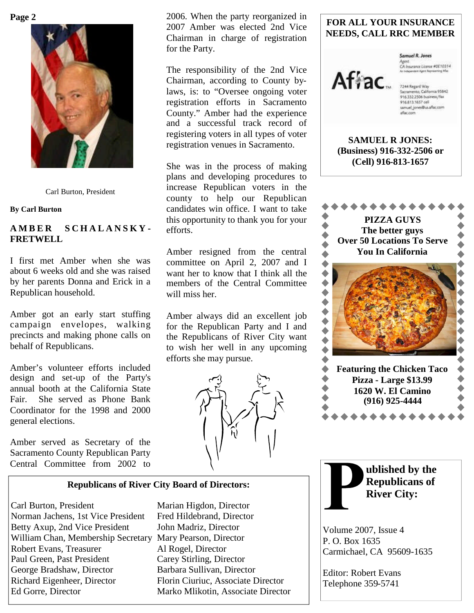

Carl Burton, President

**By Carl Burton**

## **A M B E R S C H A L A N S K Y - FRETWELL**

I first met Amber when she was about 6 weeks old and she was raised by her parents Donna and Erick in a Republican household.

Amber got an early start stuffing campaign envelopes, walking precincts and making phone calls on behalf of Republicans.

Amber's volunteer efforts included design and set-up of the Party's annual booth at the California State Fair. She served as Phone Bank Coordinator for the 1998 and 2000 general elections.

Amber served as Secretary of the Sacramento County Republican Party Central Committee from 2002 to

**Page 2** 2006. When the party reorganized in 2007 Amber was elected 2nd Vice Chairman in charge of registration for the Party.

> The responsibility of the 2nd Vice Chairman, according to County bylaws, is: to "Oversee ongoing voter registration efforts in Sacramento County." Amber had the experience and a successful track record of registering voters in all types of voter registration venues in Sacramento.

> She was in the process of making plans and developing procedures to increase Republican voters in the county to help our Republican candidates win office. I want to take this opportunity to thank you for your efforts.

Amber resigned from the central committee on April 2, 2007 and I want her to know that I think all the members of the Central Committee will miss her.

Amber always did an excellent job for the Republican Party and I and the Republicans of River City want to wish her well in any upcoming efforts she may pursue.



## **FOR ALL YOUR INSURANCE NEEDS, CALL RRC MEMBER**



Samuel R. Jones Agent<br>CA Insurance Literae #0E10314

7244 Regard Way<br>Sacramento, California 95842 916.332 2506 business/fax 916.813.1657 cell samuel\_jones@us.aflac.com aflac.com

**SAMUEL R JONES: (Business) 916-332-2506 or (Cell) 916-813-1657**



**ublished by the Republicans of**

**River City:**

Volume 2007, Issue 4

Editor: Robert Evans Telephone 359-5741

Carmichael, CA 95609-1635

P. O. Box 1635

**Republicans of River City Board of Directors:**

Carl Burton, President Marian Higdon, Director Norman Jachens, 1st Vice President Fred Hildebrand, Director Betty Axup, 2nd Vice President John Madriz, Director William Chan, Membership Secretary Mary Pearson, Director Robert Evans, Treasurer Al Rogel, Director Paul Green, Past President Carey Stirling, Director George Bradshaw, Director Barbara Sullivan, Director Richard Eigenheer, Director Florin Ciuriuc, Associate Director Ed Gorre, Director Marko Mlikotin, Associate Director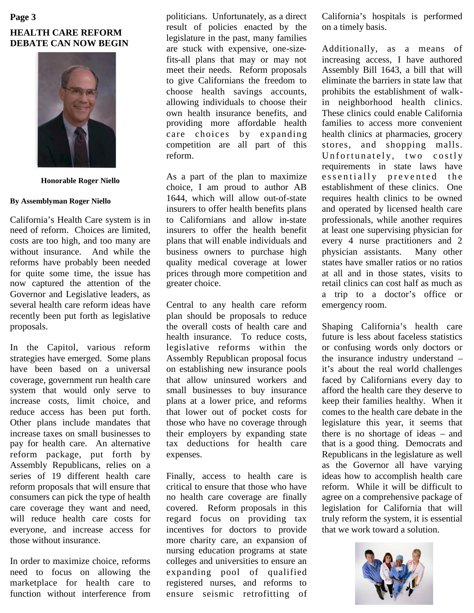# **HEALTH CARE REFORM DEBATE CAN NOW BEGIN Page 3**



**Honorable Roger Niello**

#### **By Assemblyman Roger Niello**

California's Health Care system is in need of reform. Choices are limited, costs are too high, and too many are without insurance. And while the reforms have probably been needed for quite some time, the issue has now captured the attention of the Governor and Legislative leaders, as several health care reform ideas have recently been put forth as legislative proposals.

In the Capitol, various reform strategies have emerged. Some plans have been based on a universal coverage, government run health care system that would only serve to increase costs, limit choice, and reduce access has been put forth. Other plans include mandates that increase taxes on small businesses to pay for health care. An alternative reform package, put forth by Assembly Republicans, relies on a series of 19 different health care reform proposals that will ensure that consumers can pick the type of health care coverage they want and need, will reduce health care costs for everyone, and increase access for those without insurance.

In order to maximize choice, reforms need to focus on allowing the marketplace for health care to function without interference from

politicians. Unfortunately, as a direct result of policies enacted by the legislature in the past, many families are stuck with expensive, one-sizefits-all plans that may or may not meet their needs. Reform proposals to give Californians the freedom to choose health savings accounts, allowing individuals to choose their own health insurance benefits, and providing more affordable health care choices by expanding competition are all part of this reform.

As a part of the plan to maximize choice, I am proud to author AB 1644, which will allow out-of-state insurers to offer health benefits plans to Californians and allow in-state insurers to offer the health benefit plans that will enable individuals and business owners to purchase high quality medical coverage at lower prices through more competition and greater choice.

Central to any health care reform plan should be proposals to reduce the overall costs of health care and health insurance. To reduce costs, legislative reforms within the Assembly Republican proposal focus on establishing new insurance pools that allow uninsured workers and small businesses to buy insurance plans at a lower price, and reforms that lower out of pocket costs for those who have no coverage through their employers by expanding state tax deductions for health care expenses.

Finally, access to health care is critical to ensure that those who have no health care coverage are finally covered. Reform proposals in this regard focus on providing tax incentives for doctors to provide more charity care, an expansion of nursing education programs at state colleges and universities to ensure an expanding pool of qualified registered nurses, and reforms to ensure seismic retrofitting of California's hospitals is performed on a timely basis.

Additionally, as a means of increasing access, I have authored Assembly Bill 1643, a bill that will eliminate the barriers in state law that prohibits the establishment of walkin neighborhood health clinics. These clinics could enable California families to access more convenient health clinics at pharmacies, grocery stores, and shopping malls. Unfortunately, two costly requirements in state laws have essentially prevented the establishment of these clinics. One requires health clinics to be owned and operated by licensed health care professionals, while another requires at least one supervising physician for every 4 nurse practitioners and 2 physician assistants. Many other states have smaller ratios or no ratios at all and in those states, visits to retail clinics can cost half as much as a trip to a doctor's office or emergency room.

Shaping California's health care future is less about faceless statistics or confusing words only doctors or the insurance industry understand – it's about the real world challenges faced by Californians every day to afford the health care they deserve to keep their families healthy. When it comes to the health care debate in the legislature this year, it seems that there is no shortage of ideas – and that is a good thing. Democrats and Republicans in the legislature as well as the Governor all have varying ideas how to accomplish health care reform. While it will be difficult to agree on a comprehensive package of legislation for California that will truly reform the system, it is essential that we work toward a solution.